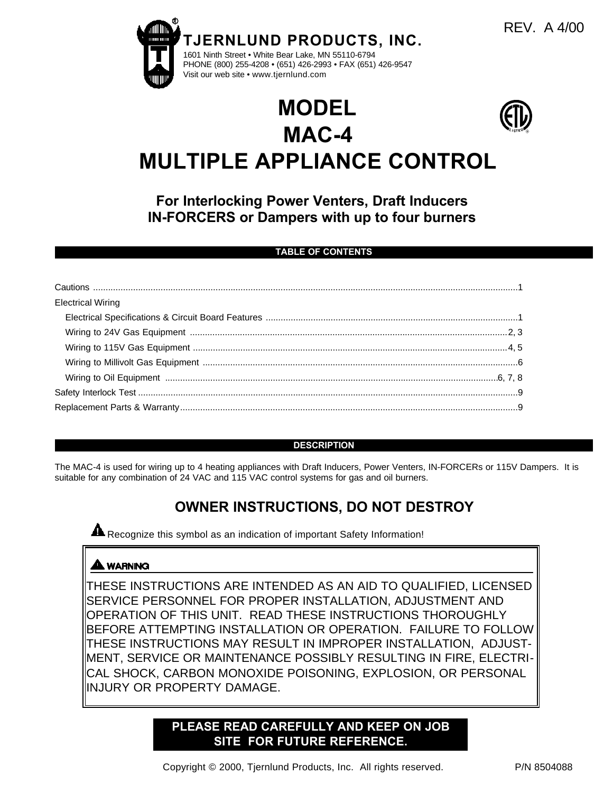

# **MODEL MAC-4 MULTIPLE APPLIANCE CONTROL**

**For Interlocking Power Venters, Draft Inducers IN-FORCERS or Dampers with up to four burners**

### **TABLE OF CONTENTS**

| <b>Electrical Wiring</b> |  |
|--------------------------|--|
|                          |  |
|                          |  |
|                          |  |
|                          |  |
|                          |  |
|                          |  |
|                          |  |

#### **DESCRIPTION**

The MAC-4 is used for wiring up to 4 heating appliances with Draft Inducers, Power Venters, IN-FORCERs or 115V Dampers. It is suitable for any combination of 24 VAC and 115 VAC control systems for gas and oil burners.

# **OWNER INSTRUCTIONS, DO NOT DESTROY**

**A** Recognize this symbol as an indication of important Safety Information!

# **A WARNING**

THESE INSTRUCTIONS ARE INTENDED AS AN AID TO QUALIFIED, LICENSED SERVICE PERSONNEL FOR PROPER INSTALLATION, ADJUSTMENT AND OPERATION OF THIS UNIT. READ THESE INSTRUCTIONS THOROUGHLY BEFORE ATTEMPTING INSTALLATION OR OPERATION. FAILURE TO FOLLOW THESE INSTRUCTIONS MAY RESULT IN IMPROPER INSTALLATION, ADJUST-MENT, SERVICE OR MAINTENANCE POSSIBLY RESULTING IN FIRE, ELECTRI-CAL SHOCK, CARBON MONOXIDE POISONING, EXPLOSION, OR PERSONAL INJURY OR PROPERTY DAMAGE.

# **PLEASE READ CAREFULLY AND KEEP ON JOB SITE FOR FUTURE REFERENCE.**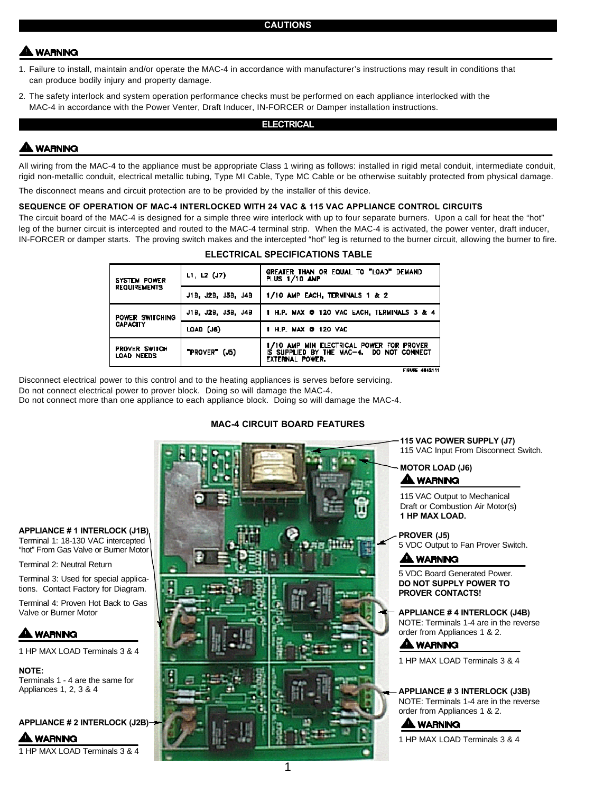# **WARNING**

- 1. Failure to install, maintain and/or operate the MAC-4 in accordance with manufacturer's instructions may result in conditions that can produce bodily injury and property damage.
- 2. The safety interlock and system operation performance checks must be performed on each appliance interlocked with the MAC-4 in accordance with the Power Venter, Draft Inducer, IN-FORCER or Damper installation instructions.

#### **ELECTRICAL**

## **LWARNING**

All wiring from the MAC-4 to the appliance must be appropriate Class 1 wiring as follows: installed in rigid metal conduit, intermediate conduit, rigid non-metallic conduit, electrical metallic tubing, Type MI Cable, Type MC Cable or be otherwise suitably protected from physical damage.

The disconnect means and circuit protection are to be provided by the installer of this device.

#### **SEQUENCE OF OPERATION OF MAC-4 INTERLOCKED WITH 24 VAC & 115 VAC APPLIANCE CONTROL CIRCUITS**

The circuit board of the MAC-4 is designed for a simple three wire interlock with up to four separate burners. Upon a call for heat the "hot" leg of the burner circuit is intercepted and routed to the MAC-4 terminal strip. When the MAC-4 is activated, the power venter, draft inducer, IN-FORCER or damper starts. The proving switch makes and the intercepted "hot" leg is returned to the burner circuit, allowing the burner to fire.

| ELECTRICAL SPECIFICATIONS TABLE            |                    |                                                                                                         |
|--------------------------------------------|--------------------|---------------------------------------------------------------------------------------------------------|
| <b>SYSTEM POWER</b><br><b>REQUIREMENTS</b> | $L1, L2$ (J7)      | GREATER THAN OR EQUAL TO "LOAD" DEMAND<br>PLUS 1/10 AMP                                                 |
|                                            | J18, J28, J38, J48 | 1/10 AMP EACH, TERMINALS 1 & 2                                                                          |
| POWER SWITCHING<br>CAPACITY                | J18. J28. J38. J48 | 1 H.P. MAX @ 120 VAC EACH. TERMINALS 3 & 4                                                              |
|                                            | LOAD (JB)          | 1 H.P. MAX 0 120 VAC                                                                                    |
| <b>PROVER SWITCH</b><br>LOAD NEEDS         | "PROVER" (J5)      | 1/10 AMP MIN ELECTRICAL POWER FOR PROVER<br>IS SUPPLIED BY THE MAC-4. DO NOT CONNECT<br>EXTERNAL POWER. |

Disconnect electrical power to this control and to the heating appliances is serves before servicing. Do not connect electrical power to prover block. Doing so will damage the MAC-4. Do not connect more than one appliance to each appliance block. Doing so will damage the MAC-4.

#### **MAC-4 CIRCUIT BOARD FEATURES**



**APPLIANCE # 1 INTERLOCK (J1B)**

Terminal 1: 18-130 VAC intercepted "hot" From Gas Valve or Burner Motor

Terminal 2: Neutral Return

Terminal 3: Used for special applications. Contact Factory for Diagram.

Terminal 4: Proven Hot Back to Gas Valve or Burner Motor

# **WARNING**

1 HP MAX LOAD Terminals 3 & 4

**NOTE:** Terminals 1 - 4 are the same for

**APPLIANCE # 2 INTERLOCK (J2B)**

**WARNING** 1 HP MAX LOAD Terminals 3 & 4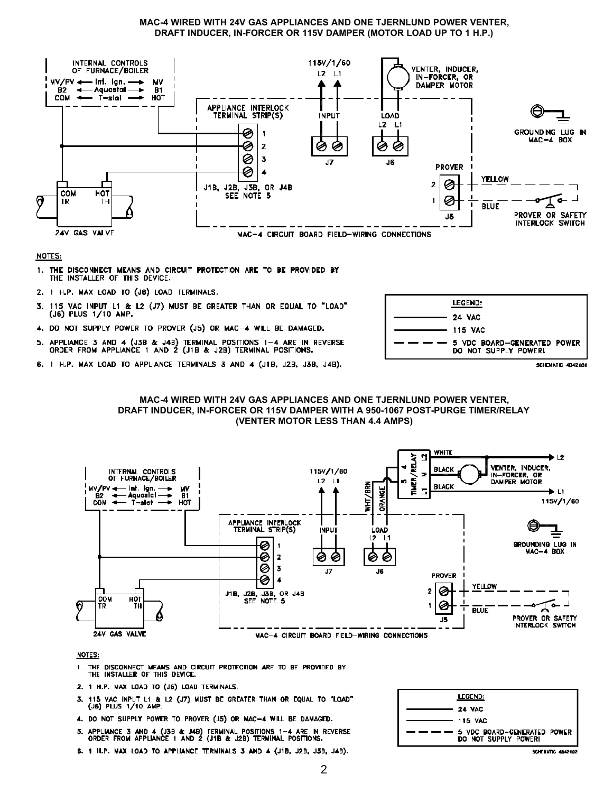#### MAC-4 WIRED WITH 24V GAS APPLIANCES AND ONE TJERNLUND POWER VENTER, DRAFT INDUCER, IN-FORCER OR 115V DAMPER (MOTOR LOAD UP TO 1 H.P.)



#### NOTES:

- 1. THE DISCONNECT MEANS AND CIRCUIT PROTECTION ARE TO BE PROVIDED BY THE INSTALLER OF THIS DEVICE.
- 2. 1 H.P. MAX LOAD TO (J6) LOAD TERMINALS.
- 115 VAC INPUT L1 & L2 (J7) MUST BE GREATER THAN OR EQUAL TO "LOAD" 3.  $(J6)$  PLUS  $1/10$  AMP.
- 4. DO NOT SUPPLY POWER TO PROVER (J5) OR MAC-4 WILL BE DAMAGED.
- APPLIANCE 3 AND 4 (J3B & J4B) TERMINAL POSITIONS 1-4 ARE IN REVERSE<br>ORDER FROM APPLIANCE 1 AND 2 (J1B & J2B) TERMINAL POSITIONS. 5.
- 6. 1 H.P. MAX LOAD TO APPLIANCE TERMINALS 3 AND 4 (J1B, J2B, J3B, J4B).



SCHENATIC 4842101





- 1. THE DISCONNECT MEANS AND CIRCUIT PROTECTION ARE TO BE PROVIDED BY THE INSTALLER OF THIS DEVICE.
- 2. 1 H.P. MAX LOAD TO (J6) LOAD TERMINALS.
- 115 VAC INPUT L1 & L2 (J7) MUST BE GREATER THAN OR EQUAL TO "LOAD" 3. (J6) PLUS 1/10 AMP.
- 4. DO NOT SUPPLY POWER TO PROVER (J5) OR MAC-4 WILL BE DAMAGED.
- APPLIANCE 3 AND 4 (J3B & J4B) TERMINAL POSITIONS 1-4 ARE IN REVERSE<br>ORDER FROM APPLIANCE 1 AND 2 (J1B & J2B) TERMINAL POSITIONS.
- 6. 1 H.P. MAX LOAD TO APPLIANCE TERMINALS 3 AND 4 (J1B, J2B, J3B, J4B).

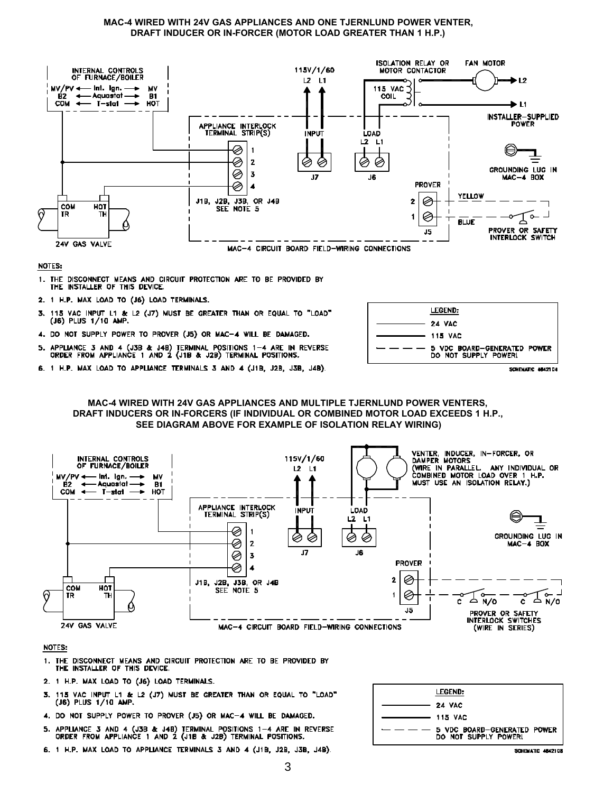#### MAC-4 WIRED WITH 24V GAS APPLIANCES AND ONE TJERNLUND POWER VENTER, DRAFT INDUCER OR IN-FORCER (MOTOR LOAD GREATER THAN 1 H.P.)



#### NOTES:

- 1. THE DISCONNECT MEANS AND CIRCUIT PROTECTION ARE TO BE PROVIDED BY THE INSTALLER OF THIS DEVICE.
- 2. 1 H.P. MAX LOAD TO (J6) LOAD TERMINALS.
- 115 VAC INPUT L1 & L2 (J7) MUST BE GREATER THAN OR EQUAL TO "LOAD"  $(J6)$  PLUS 1/10 AMP. В.
- 4. DO NOT SUPPLY POWER TO PROVER (J5) OR MAC-4 WILL BE DAMAGED.
- APPLIANCE 3 AND 4 (J3B & J4B) TERMINAL POSITIONS 1-4 ARE IN REVERSE<br>ORDER FROM APPLIANCE 1 AND 2 (J1B & J2B) TERMINAL POSITIONS. 5.
- 6. 1 H.P. MAX LOAD TO APPLIANCE TERMINALS 3 AND 4 (J1B, J2B, J3B, J4B).



#### MAC-4 WIRED WITH 24V GAS APPLIANCES AND MULTIPLE TJERNLUND POWER VENTERS, DRAFT INDUCERS OR IN-FORCERS (IF INDIVIDUAL OR COMBINED MOTOR LOAD EXCEEDS 1 H.P., SEE DIAGRAM ABOVE FOR EXAMPLE OF ISOLATION RELAY WIRING)



- 1. THE DISCONNECT MEANS AND CIRCUIT PROTECTION ARE TO BE PROVIDED BY THE INSTALLER OF THIS DEVICE.
- 2. 1 H.P. MAX LOAD TO (J6) LOAD TERMINALS.
- 115 VAC INPUT L1 & L2 (J7) MUST BE GREATER THAN OR EQUAL TO "LOAD" 3.  $(J6)$  PLUS  $1/10$  AMP.
- 4. DO NOT SUPPLY POWER TO PROVER (J5) OR MAC-4 WILL BE DAMAGED.
- APPLIANCE 3 AND 4 (J3B & J4B) TERMINAL POSITIONS 1-4 ARE IN REVERSE<br>ORDER FROM APPLIANCE 1 AND 2 (J1B & J2B) TERMINAL POSITIONS.
- 6. 1 H.P. MAX LOAD TO APPLIANCE TERMINALS 3 AND 4 (J1B, J2B, J3B, J4B).

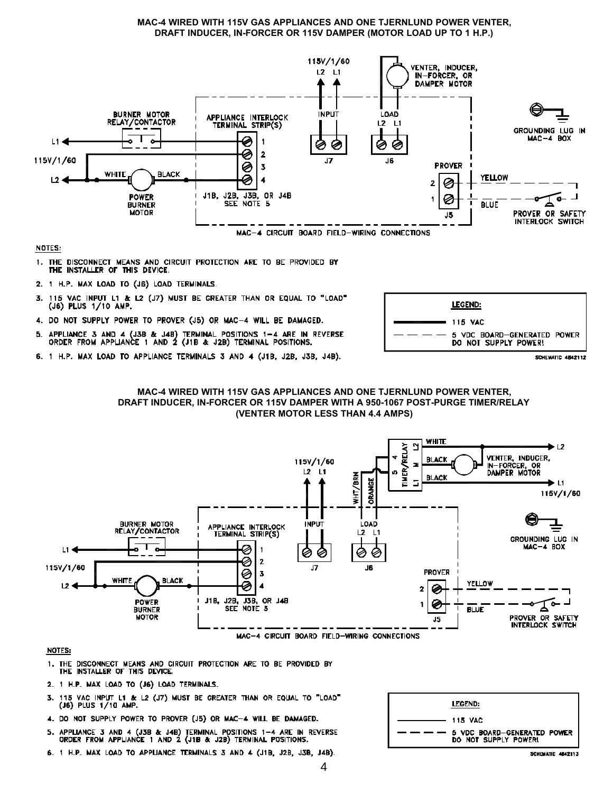#### MAC-4 WIRED WITH 115V GAS APPLIANCES AND ONE TJERNLUND POWER VENTER, DRAFT INDUCER, IN-FORCER OR 115V DAMPER (MOTOR LOAD UP TO 1 H.P.)



#### NOTES:

- 1. THE DISCONNECT MEANS AND CIRCUIT PROTECTION ARE TO BE PROVIDED BY THE INSTALLER OF THIS DEVICE.
- 2. 1 H.P. MAX LOAD TO (J6) LOAD TERMINALS.
- 115 VAC INPUT L1 & L2 (J7) MUST BE GREATER THAN OR EQUAL TO "LOAD" 3.  $(J6)$  PLUS  $1/10$  AMP.
- 4. DO NOT SUPPLY POWER TO PROVER (J5) OR MAC-4 WILL BE DAMAGED.
- APPLIANCE 3 AND 4 (J3B & J4B) TERMINAL POSITIONS 1-4 ARE IN REVERSE<br>ORDER FROM APPLIANCE 1 AND 2 (J1B & J2B) TERMINAL POSITIONS. в.
- 6. 1 H.P. MAX LOAD TO APPLIANCE TERMINALS 3 AND 4 (J1B, J2B, J3B, J4B).









- 1. THE DISCONNECT MEANS AND CIRCUIT PROTECTION ARE TO BE PROVIDED BY THE INSTALLER OF THIS DEVICE.
- 2. 1 H.P. MAX LOAD TO (J6) LOAD TERMINALS.
- $\overline{\mathbf{3}}$ . 115 VAC INPUT L1 & L2 (J7) MUST BE GREATER THAN OR EQUAL TO "LOAD" (J6) PLUS 1/10 AMP.
- 4. DO NOT SUPPLY POWER TO PROVER (J5) OR MAC-4 WILL BE DAMAGED.
- APPLIANCE 3 AND 4 (J3B & J4B) TERMINAL POSITIONS 1-4 ARE IN REVERSE<br>ORDER FROM APPLIANCE 1 AND 2 (J1B & J2B) TERMINAL POSITIONS.
- 6. 1 H.P. MAX LOAD TO APPLIANCE TERMINALS 3 AND 4 (J1B, J2B, J3B, J4B).

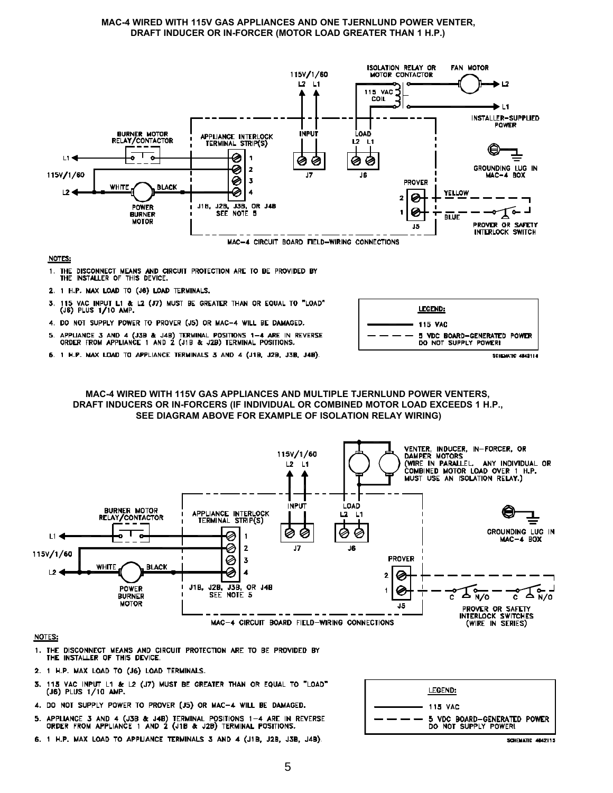#### MAC-4 WIRED WITH 115V GAS APPLIANCES AND ONE TJERNLUND POWER VENTER, DRAFT INDUCER OR IN-FORCER (MOTOR LOAD GREATER THAN 1 H.P.)



#### NOTES:

- 1. THE DISCONNECT MEANS AND CIRCUIT PROTECTION ARE TO BE PROVIDED BY<br>THE INSTALLER OF THIS DEVICE.
- 2. 1 H.P. MAX LOAD TO (J6) LOAD TERMINALS.
- 115 VAC INPUT L1 & L2 (J7) MUST BE GREATER THAN OR EQUAL TO "LOAD"<br>(J6) PLUS 1/10 AMP. 3.
- 4. DO NOT SUPPLY POWER TO PROVER (J5) OR MAC-4 WILL BE DAMAGED.
- 5. APPLIANCE 3 AND 4 (J3B & J4B) TERMINAL POSITIONS  $1-4$  are in reverse<br>ORDER FROM APPLIANCE 1 AND 2 (J1B & J2B) TERMINAL POSITIONS.



6. 1 H.P. MAX LOAD TO APPLIANCE TERMINALS 3 AND 4 (J1B, J2B, J3B, J4B).





- 1. THE DISCONNECT MEANS AND CIRCUIT PROTECTION ARE TO BE PROVIDED BY THE INSTALLER OF THIS DEVICE.
- 2. 1 H.P. MAX LOAD TO (J6) LOAD TERMINALS.
- 3. 115 VAC INPUT L1 & L2 (J7) MUST BE GREATER THAN OR EQUAL TO "LOAD" (J6) PLUS 1/10 AMP.
- 4. DO NOT SUPPLY POWER TO PROVER (J5) OR MAC-4 WILL BE DAMAGED.
- APPLIANCE 3 AND 4 (J3B & J4B) TERMINAL POSITIONS 1-4 ARE IN REVERSE<br>ORDER FROM APPLIANCE 1 AND 2 (J1B & J2B) TERMINAL POSITIONS.
- 6. 1 H.P. MAX LOAD TO APPLIANCE TERMINALS 3 AND 4 (J1B, J2B, J3B, J4B).

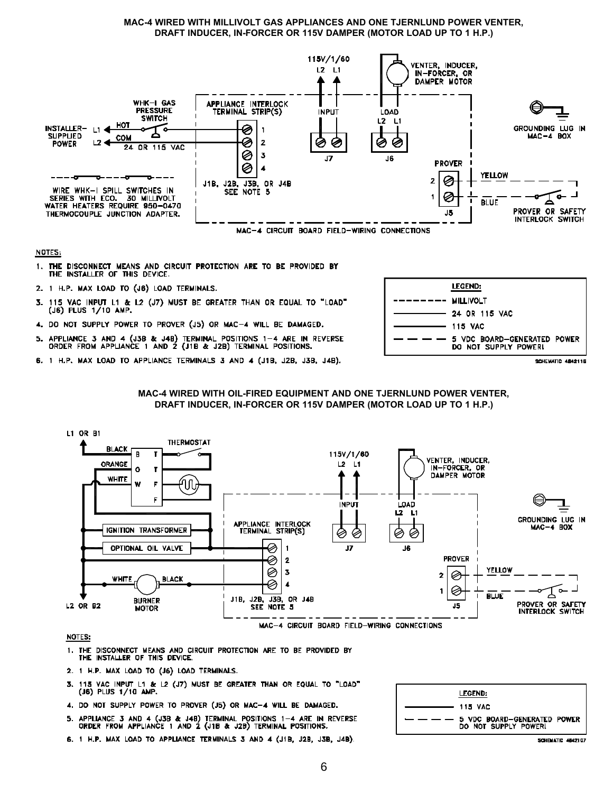#### MAC-4 WIRED WITH MILLIVOLT GAS APPLIANCES AND ONE TJERNLUND POWER VENTER, DRAFT INDUCER, IN-FORCER OR 115V DAMPER (MOTOR LOAD UP TO 1 H.P.)



#### NOTES:

- 1. THE DISCONNECT MEANS AND CIRCUIT PROTECTION ARE TO BE PROVIDED BY THE INSTALLER OF THIS DEVICE.
- 2. 1 H.P. MAX LOAD TO (J6) LOAD TERMINALS.
- 115 VAC INPUT L1 & L2 (J7) MUST BE GREATER THAN OR EQUAL TO "LOAD" 3. (J6) PLUS 1/10 AMP.
- 4. DO NOT SUPPLY POWER TO PROVER (J5) OR MAC-4 WILL BE DAMAGED.
- APPLIANCE 3 AND 4 (J3B & J4B) TERMINAL POSITIONS 1-4 ARE IN REVERSE<br>ORDER FROM APPLIANCE 1 AND 2 (J1B & J2B) TERMINAL POSITIONS. 5.
- 6. 1 H.P. MAX LOAD TO APPLIANCE TERMINALS 3 AND 4 (J1B, JZB, J3B, J4B).







- 1. THE DISCONNECT MEANS AND CIRCUIT PROTECTION ARE TO BE PROVIDED BY THE INSTALLER OF THIS DEVICE.
- 2. 1 H.P. MAX LOAD TO (J6) LOAD TERMINALS.
- 3. 115 VAC INPUT L1 & L2 (J7) MUST BE GREATER THAN OR EQUAL TO "LOAD" (J6) PLUS 1/10 AMP.
- 4. DO NOT SUPPLY POWER TO PROVER (J5) OR MAC-4 WILL BE DAMAGED.
- 5. APPLIANCE 3 AND 4 (J3B & J4B) TERMINAL POSITIONS  $1-4$  ARE IN REVERSE ORDER FROM APPLIANCE 1 AND 2 (J1B & J2B) TERMINAL POSITIONS.
- 6. 1 H.P. MAX LOAD TO APPLIANCE TERMINALS 3 AND 4 (J1B, J2B, J3B, J4B).

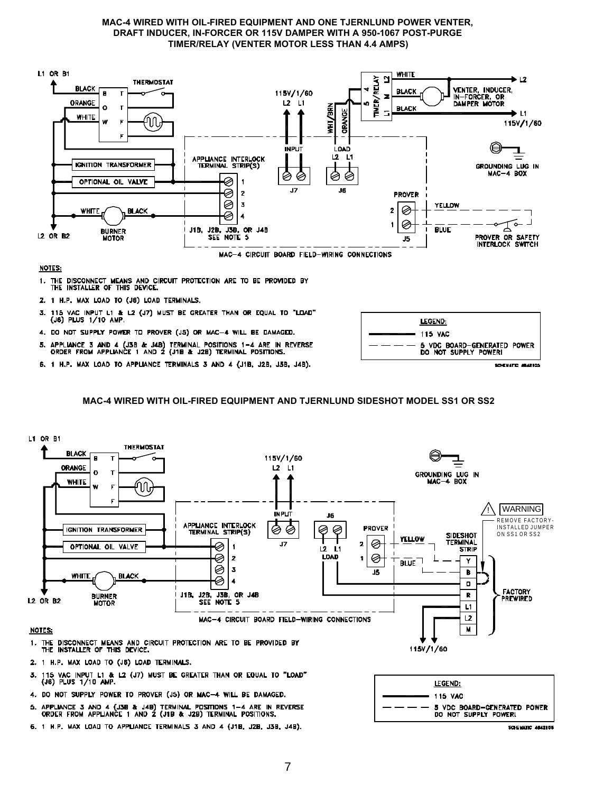#### MAC-4 WIRED WITH OIL-FIRED EQUIPMENT AND ONE TJERNLUND POWER VENTER, DRAFT INDUCER, IN-FORCER OR 115V DAMPER WITH A 950-1067 POST-PURGE TIMER/RELAY (VENTER MOTOR LESS THAN 4.4 AMPS)



#### **NOTES:**

- 1. THE DISCONNECT MEANS AND CIRCUIT PROTECTION ARE TO BE PROVIDED BY THE INSTALLER OF THIS DEVICE.
- 2. 1 H.P. MAX LOAD TO (J6) LOAD TERMINALS.
- 115 VAC INPUT L1 & L2 (J7) MUST BE GREATER THAN OR EQUAL TD "LOAD" (J8) PLUS 1/10 AMP. 3.
- 4. DO NOT SUPPLY POWER TO PROVER (J5) OR MAC-4 WILL BE DAMAGED.
- 5. APPLIANCE 3 AND 4 (J3B & J4B) TERMINAL POSITIONS 1-4 ARE IN REVERSE ORDER FROM APPLIANCE 1 AND 2 (J1B & J2B) TERMINAL POSITIONS.
- 6. 1 H.P. MAX LOAD TO APPLIANCE TERMINALS 3 AND 4 (J1B, J2B, J3B, J4B).



SCHENATE ABARICO

#### MAC-4 WIRED WITH OIL-FIRED EQUIPMENT AND TJERNLUND SIDESHOT MODEL SS1 OR SS2



- 4. DO NOT SUPPLY POWER TO PROVER (J5) OR MAC-4 WILL BE DAMAGED.
- 5. APPLIANCE 3 AND 4 (J38 & J48) TERMINAL POSITIONS 1-4 ARE IN REVERSE ORDER FROM APPLIANCE 1 AND 2 (J18 & J28) TERMINAL POSITIONS.
- 6. 1 H.P. MAX LOAD TO APPLIANCE TERMINALS 3 AND 4 (J1B, J2B, J3B, J4B).



**SCHEMATIC 4842108**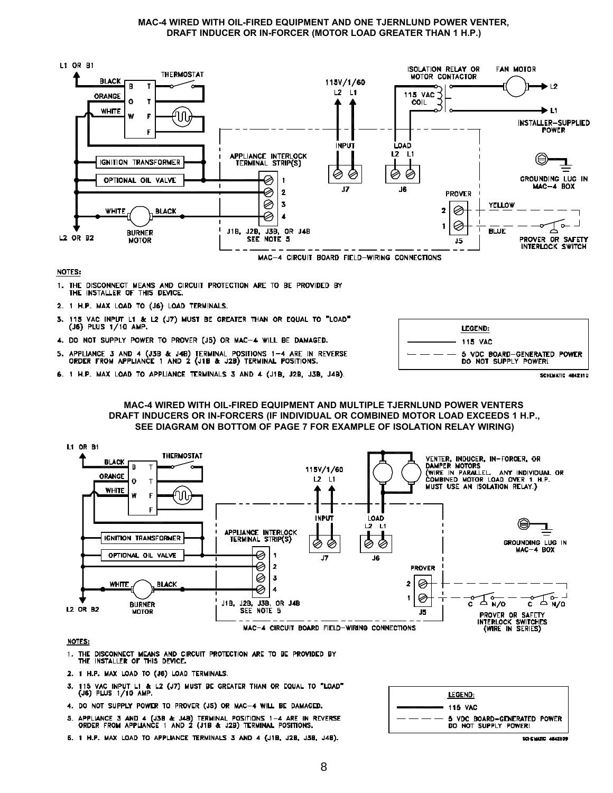#### MAC-4 WIRED WITH OIL-FIRED EQUIPMENT AND ONE TJERNLUND POWER VENTER, DRAFT INDUCER OR IN-FORCER (MOTOR LOAD GREATER THAN 1 H.P.)



#### NOTES:

- 1. THE DISCONNECT MEANS AND CIRCUIT PROTECTION ARE TO BE PROVIDED BY THE INSTALLER OF THIS DEVICE.
- 2. 1 H.P. MAX LOAD TO (J6) LOAD TERMINALS.
- 3. 115 VAC INPUT L1 & L2 (J7) MUST BE GREATER THAN OR EQUAL TO "LOAD" (J6) PLUS 1/10 AMP.
- 4. DO NOT SUPPLY POWER TO PROVER (J5) OR MAC-4 WILL BE DAMAGED.
- APPLIANCE 3 AND 4 (J3B & J4B) TERMINAL POSITIONS 1-4 ARE IN REVERSE<br>ORDER FROM APPLIANCE 1 AND 2 (J1B & J2B) TERMINAL POSITIONS.
- 6. 1 H.P. MAX LOAD TO APPLIANCE TERMINALS 3 AND 4 (J1B, J2B, J3B, J4B).



SCHEMATIC 4842110

#### MAC-4 WIRED WITH OIL-FIRED EQUIPMENT AND MULTIPLE TJERNLUND POWER VENTERS DRAFT INDUCERS OR IN-FORCERS (IF INDIVIDUAL OR COMBINED MOTOR LOAD EXCEEDS 1 H.P., SEE DIAGRAM ON BOTTOM OF PAGE 7 FOR EXAMPLE OF ISOLATION RELAY WIRING)



- 1. THE DISCONNECT MEANS AND CIRCUIT PROTECTION ARE TO BE PROVIDED BY THE INSTALLER OF THIS DEVICE.
- 2. 1 H.P. MAX LOAD TO (J6) LOAD TERMINALS.
- 115 VAC INPUT L1 & L2 (J7) MUST BE GREATER THAN OR EQUAL TO "LOAD" (J6) PLUS 1/10 AMP.
- 4. DO NOT SUPPLY POWER TO PROVER (J5) OR MAC-4 WILL BE DAMAGED.
- 5. APPLIANCE 3 AND 4 (J3B & J4B) TERMINAL POSITIONS 1-4 ARE IN REVERSE<br>ORDER FROM APPLIANCE 1 AND 2 (J1B & J2B) TERMINAL POSITIONS.
- 5. 1 H.P. MAX LOAD TO APPLIANCE TERMINALS 3 AND 4 (J1B, J2B, J3B, J4B).